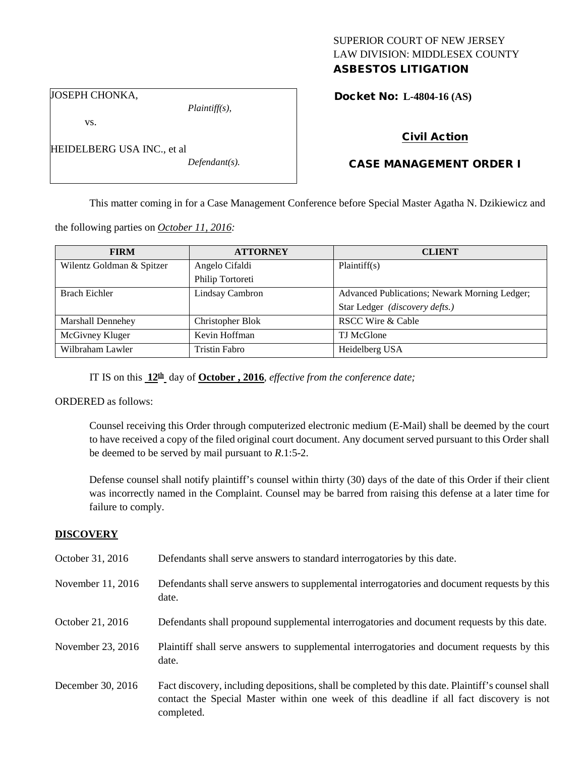# SUPERIOR COURT OF NEW JERSEY LAW DIVISION: MIDDLESEX COUNTY

# ASBESTOS LITIGATION

Docket No: **L-4804-16 (AS)** 

JOSEPH CHONKA,

HEIDELBERG USA INC., et al

vs.

*Plaintiff(s),*

*Defendant(s).*

Civil Action

# CASE MANAGEMENT ORDER I

This matter coming in for a Case Management Conference before Special Master Agatha N. Dzikiewicz and

the following parties on *October 11, 2016:*

| <b>FIRM</b>               | <b>ATTORNEY</b>      | <b>CLIENT</b>                                 |
|---------------------------|----------------------|-----------------------------------------------|
| Wilentz Goldman & Spitzer | Angelo Cifaldi       | Plaintiff(s)                                  |
|                           | Philip Tortoreti     |                                               |
| <b>Brach Eichler</b>      | Lindsay Cambron      | Advanced Publications; Newark Morning Ledger; |
|                           |                      | Star Ledger (discovery defts.)                |
| <b>Marshall Dennehey</b>  | Christopher Blok     | <b>RSCC Wire &amp; Cable</b>                  |
| McGivney Kluger           | Kevin Hoffman        | TJ McGlone                                    |
| Wilbraham Lawler          | <b>Tristin Fabro</b> | Heidelberg USA                                |

IT IS on this **12th** day of **October , 2016**, *effective from the conference date;*

ORDERED as follows:

Counsel receiving this Order through computerized electronic medium (E-Mail) shall be deemed by the court to have received a copy of the filed original court document. Any document served pursuant to this Order shall be deemed to be served by mail pursuant to *R*.1:5-2.

Defense counsel shall notify plaintiff's counsel within thirty (30) days of the date of this Order if their client was incorrectly named in the Complaint. Counsel may be barred from raising this defense at a later time for failure to comply.

## **DISCOVERY**

October 31, 2016 Defendants shall serve answers to standard interrogatories by this date. November 11, 2016 Defendants shall serve answers to supplemental interrogatories and document requests by this date. October 21, 2016 Defendants shall propound supplemental interrogatories and document requests by this date. November 23, 2016 Plaintiff shall serve answers to supplemental interrogatories and document requests by this date. December 30, 2016 Fact discovery, including depositions, shall be completed by this date. Plaintiff's counsel shall contact the Special Master within one week of this deadline if all fact discovery is not completed.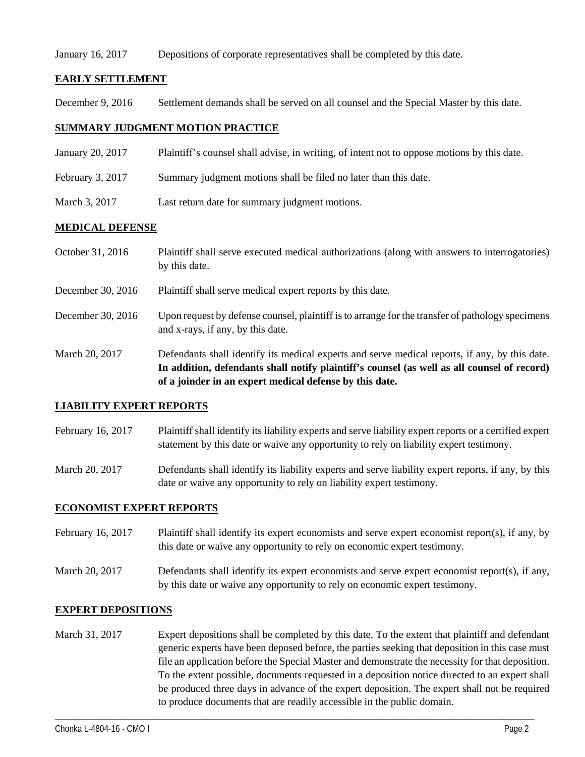### January 16, 2017 Depositions of corporate representatives shall be completed by this date.

# **EARLY SETTLEMENT**

December 9, 2016 Settlement demands shall be served on all counsel and the Special Master by this date.

# **SUMMARY JUDGMENT MOTION PRACTICE**

- January 20, 2017 Plaintiff's counsel shall advise, in writing, of intent not to oppose motions by this date.
- February 3, 2017 Summary judgment motions shall be filed no later than this date.
- March 3, 2017 Last return date for summary judgment motions.

## **MEDICAL DEFENSE**

October 31, 2016 Plaintiff shall serve executed medical authorizations (along with answers to interrogatories) by this date. December 30, 2016 Plaintiff shall serve medical expert reports by this date. December 30, 2016 Upon request by defense counsel, plaintiff is to arrange for the transfer of pathology specimens and x-rays, if any, by this date. March 20, 2017 Defendants shall identify its medical experts and serve medical reports, if any, by this date. **In addition, defendants shall notify plaintiff's counsel (as well as all counsel of record) of a joinder in an expert medical defense by this date.**

## **LIABILITY EXPERT REPORTS**

- February 16, 2017 Plaintiff shall identify its liability experts and serve liability expert reports or a certified expert statement by this date or waive any opportunity to rely on liability expert testimony.
- March 20, 2017 Defendants shall identify its liability experts and serve liability expert reports, if any, by this date or waive any opportunity to rely on liability expert testimony.

## **ECONOMIST EXPERT REPORTS**

- February 16, 2017 Plaintiff shall identify its expert economists and serve expert economist report(s), if any, by this date or waive any opportunity to rely on economic expert testimony.
- March 20, 2017 Defendants shall identify its expert economists and serve expert economist report(s), if any, by this date or waive any opportunity to rely on economic expert testimony.

## **EXPERT DEPOSITIONS**

March 31, 2017 Expert depositions shall be completed by this date. To the extent that plaintiff and defendant generic experts have been deposed before, the parties seeking that deposition in this case must file an application before the Special Master and demonstrate the necessity for that deposition. To the extent possible, documents requested in a deposition notice directed to an expert shall be produced three days in advance of the expert deposition. The expert shall not be required to produce documents that are readily accessible in the public domain.

\_\_\_\_\_\_\_\_\_\_\_\_\_\_\_\_\_\_\_\_\_\_\_\_\_\_\_\_\_\_\_\_\_\_\_\_\_\_\_\_\_\_\_\_\_\_\_\_\_\_\_\_\_\_\_\_\_\_\_\_\_\_\_\_\_\_\_\_\_\_\_\_\_\_\_\_\_\_\_\_\_\_\_\_\_\_\_\_\_\_\_\_\_\_\_\_\_\_\_\_\_\_\_\_\_\_\_\_\_\_